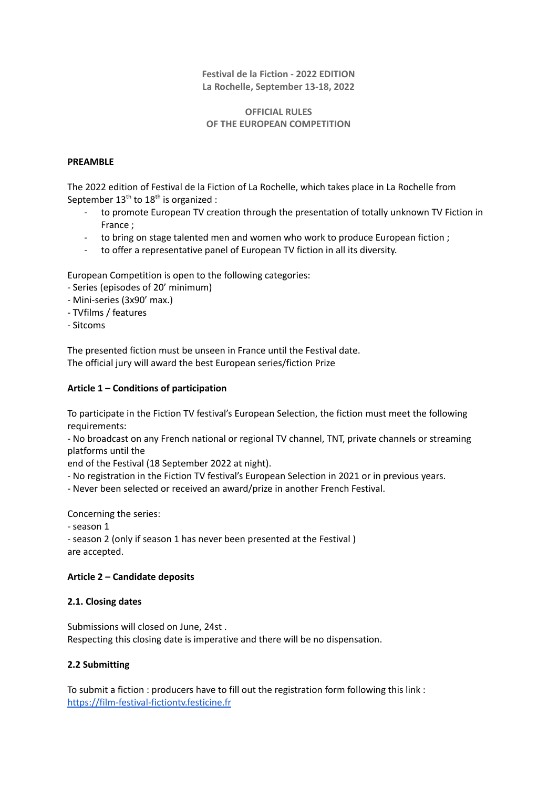#### **Festival de la Fiction - 2022 EDITION La Rochelle, September 13-18, 2022**

## **OFFICIAL RULES OF THE EUROPEAN COMPETITION**

### **PREAMBLE**

The 2022 edition of Festival de la Fiction of La Rochelle, which takes place in La Rochelle from September  $13<sup>th</sup>$  to  $18<sup>th</sup>$  is organized :

- to promote European TV creation through the presentation of totally unknown TV Fiction in France ;
- to bring on stage talented men and women who work to produce European fiction ;
- to offer a representative panel of European TV fiction in all its diversity.

European Competition is open to the following categories:

- Series (episodes of 20' minimum)
- Mini-series (3x90' max.)
- TVfilms / features
- Sitcoms

The presented fiction must be unseen in France until the Festival date. The official jury will award the best European series/fiction Prize

## **Article 1 – Conditions of participation**

To participate in the Fiction TV festival's European Selection, the fiction must meet the following requirements:

- No broadcast on any French national or regional TV channel, TNT, private channels or streaming platforms until the

end of the Festival (18 September 2022 at night).

- No registration in the Fiction TV festival's European Selection in 2021 or in previous years.

- Never been selected or received an award/prize in another French Festival.

Concerning the series:

- season 1

- season 2 (only if season 1 has never been presented at the Festival ) are accepted.

# **Article 2 – Candidate deposits**

#### **2.1. Closing dates**

Submissions will closed on June, 24st . Respecting this closing date is imperative and there will be no dispensation.

# **2.2 Submitting**

To submit a fiction : producers have to fill out the registration form following this link : <https://film-festival-fictiontv.festicine.fr>